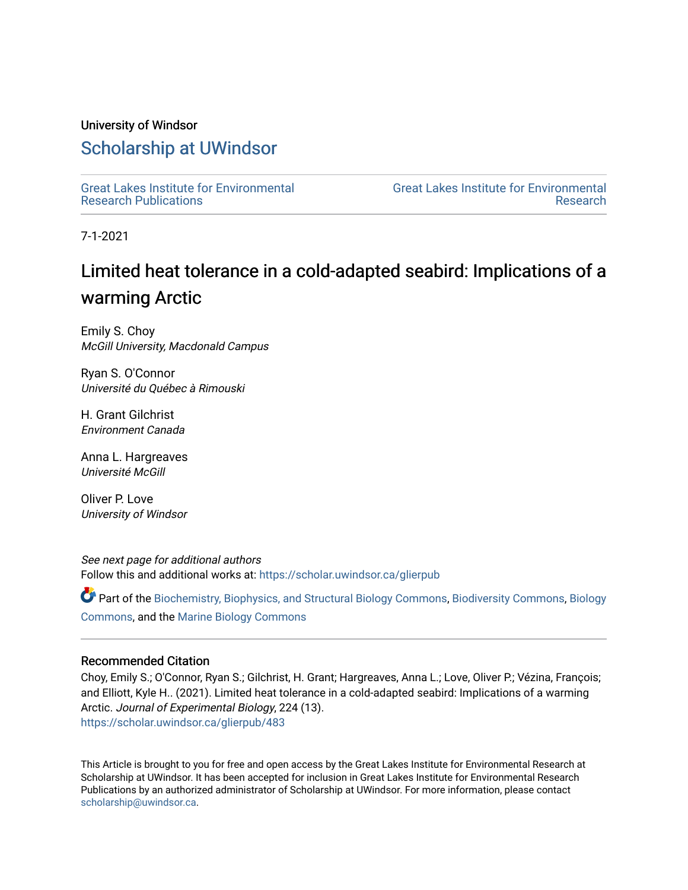# University of Windsor

# [Scholarship at UWindsor](https://scholar.uwindsor.ca/)

[Great Lakes Institute for Environmental](https://scholar.uwindsor.ca/glierpub) [Research Publications](https://scholar.uwindsor.ca/glierpub) 

[Great Lakes Institute for Environmental](https://scholar.uwindsor.ca/glier)  [Research](https://scholar.uwindsor.ca/glier) 

7-1-2021

# Limited heat tolerance in a cold-adapted seabird: Implications of a warming Arctic

Emily S. Choy McGill University, Macdonald Campus

Ryan S. O'Connor Université du Québec à Rimouski

H. Grant Gilchrist Environment Canada

Anna L. Hargreaves Université McGill

Oliver P. Love University of Windsor

See next page for additional authors Follow this and additional works at: [https://scholar.uwindsor.ca/glierpub](https://scholar.uwindsor.ca/glierpub?utm_source=scholar.uwindsor.ca%2Fglierpub%2F483&utm_medium=PDF&utm_campaign=PDFCoverPages) 

Part of the [Biochemistry, Biophysics, and Structural Biology Commons](http://network.bepress.com/hgg/discipline/1?utm_source=scholar.uwindsor.ca%2Fglierpub%2F483&utm_medium=PDF&utm_campaign=PDFCoverPages), [Biodiversity Commons,](http://network.bepress.com/hgg/discipline/1127?utm_source=scholar.uwindsor.ca%2Fglierpub%2F483&utm_medium=PDF&utm_campaign=PDFCoverPages) [Biology](http://network.bepress.com/hgg/discipline/41?utm_source=scholar.uwindsor.ca%2Fglierpub%2F483&utm_medium=PDF&utm_campaign=PDFCoverPages)  [Commons](http://network.bepress.com/hgg/discipline/41?utm_source=scholar.uwindsor.ca%2Fglierpub%2F483&utm_medium=PDF&utm_campaign=PDFCoverPages), and the [Marine Biology Commons](http://network.bepress.com/hgg/discipline/1126?utm_source=scholar.uwindsor.ca%2Fglierpub%2F483&utm_medium=PDF&utm_campaign=PDFCoverPages) 

# Recommended Citation

Choy, Emily S.; O'Connor, Ryan S.; Gilchrist, H. Grant; Hargreaves, Anna L.; Love, Oliver P.; Vézina, François; and Elliott, Kyle H.. (2021). Limited heat tolerance in a cold-adapted seabird: Implications of a warming Arctic. Journal of Experimental Biology, 224 (13). [https://scholar.uwindsor.ca/glierpub/483](https://scholar.uwindsor.ca/glierpub/483?utm_source=scholar.uwindsor.ca%2Fglierpub%2F483&utm_medium=PDF&utm_campaign=PDFCoverPages) 

This Article is brought to you for free and open access by the Great Lakes Institute for Environmental Research at Scholarship at UWindsor. It has been accepted for inclusion in Great Lakes Institute for Environmental Research Publications by an authorized administrator of Scholarship at UWindsor. For more information, please contact [scholarship@uwindsor.ca.](mailto:scholarship@uwindsor.ca)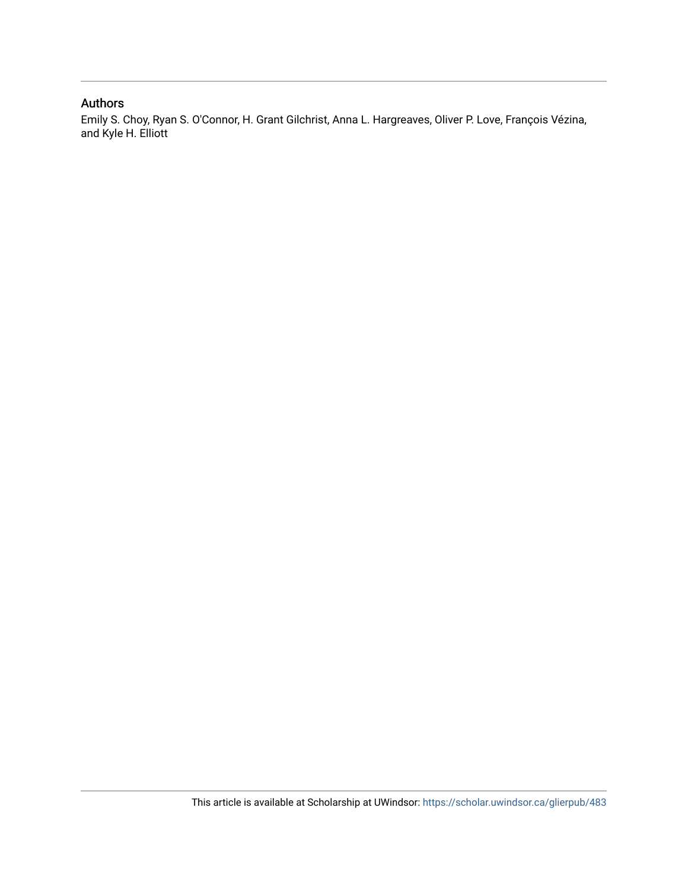# Authors

Emily S. Choy, Ryan S. O'Connor, H. Grant Gilchrist, Anna L. Hargreaves, Oliver P. Love, François Vézina, and Kyle H. Elliott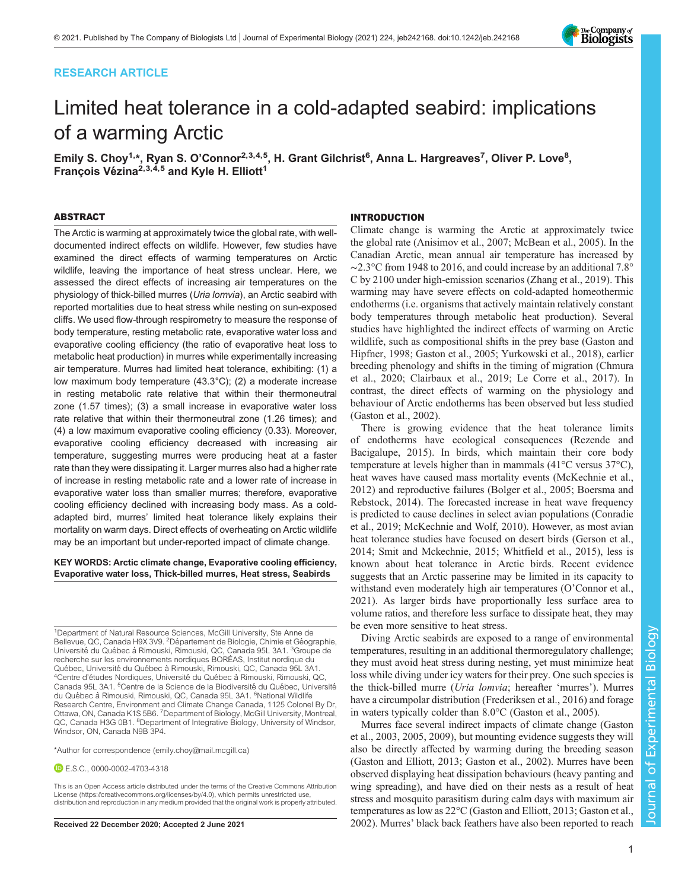# RESEARCH ARTICLE



# Limited heat tolerance in a cold-adapted seabird: implications of a warming Arctic

Emily S. Choy<sup>1,</sup>\*, Ryan S. O'Connor<sup>2,3,4,5</sup>, H. Grant Gilchrist<sup>6</sup>, Anna L. Hargreaves<sup>7</sup>, Oliver P. Love<sup>8</sup>, François Vézina<sup>2,3,4,5</sup> and Kyle H. Elliott<sup>1</sup>

## ABSTRACT

The Arctic is warming at approximately twice the global rate, with welldocumented indirect effects on wildlife. However, few studies have examined the direct effects of warming temperatures on Arctic wildlife, leaving the importance of heat stress unclear. Here, we assessed the direct effects of increasing air temperatures on the physiology of thick-billed murres (Uria lomvia), an Arctic seabird with reported mortalities due to heat stress while nesting on sun-exposed cliffs. We used flow-through respirometry to measure the response of body temperature, resting metabolic rate, evaporative water loss and evaporative cooling efficiency (the ratio of evaporative heat loss to metabolic heat production) in murres while experimentally increasing air temperature. Murres had limited heat tolerance, exhibiting: (1) a low maximum body temperature (43.3°C); (2) a moderate increase in resting metabolic rate relative that within their thermoneutral zone (1.57 times); (3) a small increase in evaporative water loss rate relative that within their thermoneutral zone (1.26 times); and (4) a low maximum evaporative cooling efficiency (0.33). Moreover, evaporative cooling efficiency decreased with increasing air temperature, suggesting murres were producing heat at a faster rate than they were dissipating it. Larger murres also had a higher rate of increase in resting metabolic rate and a lower rate of increase in evaporative water loss than smaller murres; therefore, evaporative cooling efficiency declined with increasing body mass. As a coldadapted bird, murres' limited heat tolerance likely explains their mortality on warm days. Direct effects of overheating on Arctic wildlife may be an important but under-reported impact of climate change.

#### KEY WORDS: Arctic climate change, Evaporative cooling efficiency, Evaporative water loss, Thick-billed murres, Heat stress, Seabirds

<sup>1</sup>Department of Natural Resource Sciences, McGill University, Ste Anne de Bellevue, QC, Canada H9X 3V9. <sup>2</sup> Département de Biologie, Chimie et Géographie, Université du Québec à Rimouski, Rimouski, QC, Canada 95L 3A1. <sup>3</sup>Groupe de recherche sur les environnements nordiques BORÉAS, Institut nordique du Québec, Université du Québec à Rimouski, Rimouski, QC, Canada 95L 3A1. <sup>4</sup>Centre d'études Nordiques, Université du Québec à Rimouski, Rimouski, QC Canada 95L 3A1. <sup>5</sup>Centre de la Science de la Biodiversité du Québec, Université du Québec à Rimouski, Rimouski, QC, Canada 95L 3A1. <sup>6</sup>National Wildlife Research Centre, Environment and Climate Change Canada, 1125 Colonel By Dr, Ottawa, ON, Canada K1S 5B6. <sup>7</sup>Department of Biology, McGill University, Montreal, QC, Canada H3G 0B1. <sup>8</sup>Department of Integrative Biology, University of Windsor, Windsor, ON, Canada N9B 3P4.

\*Author for correspondence [\(emily.choy@mail.mcgill.ca\)](mailto:emily.choy@mail.mcgill.ca)

E.S.C., [0000-0002-4703-4318](http://orcid.org/0000-0002-4703-4318)

This is an Open Access article distributed under the terms of the Creative Commons Attribution License (https://creativecommons.org/licenses/by/4.0), which permits unrestricted use, distribution and reproduction in any medium provided that the original work is properly attributed.

#### INTRODUCTION

Climate change is warming the Arctic at approximately twice the global rate [\(Anisimov et al., 2007; McBean et al., 2005](#page-10-0)). In the Canadian Arctic, mean annual air temperature has increased by ∼2.3°C from 1948 to 2016, and could increase by an additional 7.8° C by 2100 under high-emission scenarios [\(Zhang et al., 2019\)](#page-11-0). This warming may have severe effects on cold-adapted homeothermic endotherms (i.e. organisms that actively maintain relatively constant body temperatures through metabolic heat production). Several studies have highlighted the indirect effects of warming on Arctic wildlife, such as compositional shifts in the prey base [\(Gaston and](#page-10-0) [Hipfner, 1998](#page-10-0); [Gaston et al., 2005](#page-10-0); [Yurkowski et al., 2018](#page-11-0)), earlier breeding phenology and shifts in the timing of migration ([Chmura](#page-10-0) [et al., 2020](#page-10-0); [Clairbaux et al., 2019](#page-10-0); [Le Corre et al., 2017](#page-10-0)). In contrast, the direct effects of warming on the physiology and behaviour of Arctic endotherms has been observed but less studied [\(Gaston et al., 2002\)](#page-10-0).

There is growing evidence that the heat tolerance limits of endotherms have ecological consequences ([Rezende and](#page-11-0) [Bacigalupe, 2015](#page-11-0)). In birds, which maintain their core body temperature at levels higher than in mammals (41°C versus 37°C), heat waves have caused mass mortality events [\(McKechnie et al.,](#page-11-0) [2012\)](#page-11-0) and reproductive failures [\(Bolger et al., 2005](#page-10-0); [Boersma and](#page-10-0) [Rebstock, 2014\)](#page-10-0). The forecasted increase in heat wave frequency is predicted to cause declines in select avian populations ([Conradie](#page-10-0) [et al., 2019;](#page-10-0) [McKechnie and Wolf, 2010\)](#page-11-0). However, as most avian heat tolerance studies have focused on desert birds [\(Gerson et al.,](#page-10-0) [2014;](#page-10-0) [Smit and Mckechnie, 2015; Whitfield et al., 2015](#page-11-0)), less is known about heat tolerance in Arctic birds. Recent evidence suggests that an Arctic passerine may be limited in its capacity to withstand even moderately high air temperatures (O'[Connor et al.,](#page-11-0) [2021\)](#page-11-0). As larger birds have proportionally less surface area to volume ratios, and therefore less surface to dissipate heat, they may be even more sensitive to heat stress.

Diving Arctic seabirds are exposed to a range of environmental temperatures, resulting in an additional thermoregulatory challenge; they must avoid heat stress during nesting, yet must minimize heat loss while diving under icy waters for their prey. One such species is the thick-billed murre (Uria lomvia; hereafter 'murres'). Murres have a circumpolar distribution ([Frederiksen et al., 2016\)](#page-10-0) and forage in waters typically colder than 8.0°C ([Gaston et al., 2005\)](#page-10-0).

Murres face several indirect impacts of climate change [\(Gaston](#page-10-0) [et al., 2003, 2005](#page-10-0), [2009\)](#page-10-0), but mounting evidence suggests they will also be directly affected by warming during the breeding season [\(Gaston and Elliott, 2013; Gaston et al., 2002](#page-10-0)). Murres have been observed displaying heat dissipation behaviours (heavy panting and wing spreading), and have died on their nests as a result of heat stress and mosquito parasitism during calm days with maximum air temperatures as low as 22°C ([Gaston and Elliott, 2013](#page-10-0); [Gaston et al.,](#page-10-0) Received 22 December 2020; Accepted 2 June 2021 [2002\)](#page-10-0). Murres' black back feathers have also been reported to reach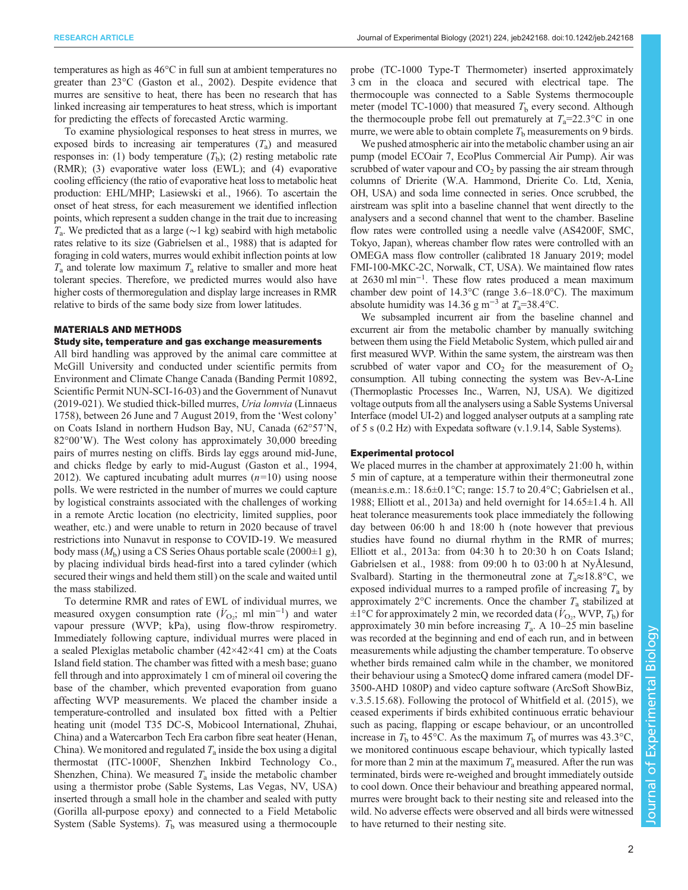temperatures as high as 46°C in full sun at ambient temperatures no greater than 23°C ([Gaston et al., 2002](#page-10-0)). Despite evidence that murres are sensitive to heat, there has been no research that has linked increasing air temperatures to heat stress, which is important for predicting the effects of forecasted Arctic warming.

To examine physiological responses to heat stress in murres, we exposed birds to increasing air temperatures  $(T_a)$  and measured responses in: (1) body temperature  $(T<sub>b</sub>)$ ; (2) resting metabolic rate (RMR); (3) evaporative water loss (EWL); and (4) evaporative cooling efficiency (the ratio of evaporative heat loss to metabolic heat production: EHL/MHP; [Lasiewski et al., 1966](#page-10-0)). To ascertain the onset of heat stress, for each measurement we identified inflection points, which represent a sudden change in the trait due to increasing  $T_a$ . We predicted that as a large (∼1 kg) seabird with high metabolic rates relative to its size [\(Gabrielsen et al., 1988\)](#page-10-0) that is adapted for foraging in cold waters, murres would exhibit inflection points at low  $T_a$  and tolerate low maximum  $T_a$  relative to smaller and more heat tolerant species. Therefore, we predicted murres would also have higher costs of thermoregulation and display large increases in RMR relative to birds of the same body size from lower latitudes.

#### MATERIALS AND METHODS

#### Study site, temperature and gas exchange measurements

All bird handling was approved by the animal care committee at McGill University and conducted under scientific permits from Environment and Climate Change Canada (Banding Permit 10892, Scientific Permit NUN-SCI-16-03) and the Government of Nunavut (2019-021). We studied thick-billed murres, Uria lomvia (Linnaeus 1758), between 26 June and 7 August 2019, from the 'West colony' on Coats Island in northern Hudson Bay, NU, Canada (62°57'N, 82°00'W). The West colony has approximately 30,000 breeding pairs of murres nesting on cliffs. Birds lay eggs around mid-June, and chicks fledge by early to mid-August ([Gaston et al., 1994,](#page-10-0) [2012](#page-10-0)). We captured incubating adult murres  $(n=10)$  using noose polls. We were restricted in the number of murres we could capture by logistical constraints associated with the challenges of working in a remote Arctic location (no electricity, limited supplies, poor weather, etc.) and were unable to return in 2020 because of travel restrictions into Nunavut in response to COVID-19. We measured body mass  $(M_h)$  using a CS Series Ohaus portable scale (2000 $\pm 1$  g), by placing individual birds head-first into a tared cylinder (which secured their wings and held them still) on the scale and waited until the mass stabilized.

To determine RMR and rates of EWL of individual murres, we measured oxygen consumption rate ( $\dot{V}_{\text{O}_2}$ ; ml min<sup>-1</sup>) and water vapour pressure (WVP; kPa), using flow-throw respirometry. Immediately following capture, individual murres were placed in a sealed Plexiglas metabolic chamber (42×42×41 cm) at the Coats Island field station. The chamber was fitted with a mesh base; guano fell through and into approximately 1 cm of mineral oil covering the base of the chamber, which prevented evaporation from guano affecting WVP measurements. We placed the chamber inside a temperature-controlled and insulated box fitted with a Peltier heating unit (model T35 DC-S, Mobicool International, Zhuhai, China) and a Watercarbon Tech Era carbon fibre seat heater (Henan, China). We monitored and regulated  $T_a$  inside the box using a digital thermostat (ITC-1000F, Shenzhen Inkbird Technology Co., Shenzhen, China). We measured  $T_a$  inside the metabolic chamber using a thermistor probe (Sable Systems, Las Vegas, NV, USA) inserted through a small hole in the chamber and sealed with putty (Gorilla all-purpose epoxy) and connected to a Field Metabolic System (Sable Systems).  $T<sub>b</sub>$  was measured using a thermocouple probe (TC-1000 Type-T Thermometer) inserted approximately 3 cm in the cloaca and secured with electrical tape. The thermocouple was connected to a Sable Systems thermocouple meter (model TC-1000) that measured  $T<sub>b</sub>$  every second. Although the thermocouple probe fell out prematurely at  $T_a=22.3$ °C in one murre, we were able to obtain complete  $T<sub>b</sub>$  measurements on 9 birds.

We pushed atmospheric air into the metabolic chamber using an air pump (model ECOair 7, EcoPlus Commercial Air Pump). Air was scrubbed of water vapour and  $CO<sub>2</sub>$  by passing the air stream through columns of Drierite (W.A. Hammond, Drierite Co. Ltd, Xenia, OH, USA) and soda lime connected in series. Once scrubbed, the airstream was split into a baseline channel that went directly to the analysers and a second channel that went to the chamber. Baseline flow rates were controlled using a needle valve (AS4200F, SMC, Tokyo, Japan), whereas chamber flow rates were controlled with an OMEGA mass flow controller (calibrated 18 January 2019; model FMI-100-MKC-2C, Norwalk, CT, USA). We maintained flow rates at 2630 ml min−<sup>1</sup> . These flow rates produced a mean maximum chamber dew point of 14.3°C (range 3.6–18.0°C). The maximum absolute humidity was 14.36 g m<sup>-3</sup> at  $T_a$ =38.4°C.

We subsampled incurrent air from the baseline channel and excurrent air from the metabolic chamber by manually switching between them using the Field Metabolic System, which pulled air and first measured WVP. Within the same system, the airstream was then scrubbed of water vapor and  $CO<sub>2</sub>$  for the measurement of  $O<sub>2</sub>$ consumption. All tubing connecting the system was Bev-A-Line (Thermoplastic Processes Inc., Warren, NJ, USA). We digitized voltage outputs from all the analysers using a Sable Systems Universal Interface (model UI-2) and logged analyser outputs at a sampling rate of 5 s (0.2 Hz) with Expedata software (v.1.9.14, Sable Systems).

#### Experimental protocol

We placed murres in the chamber at approximately 21:00 h, within 5 min of capture, at a temperature within their thermoneutral zone (mean±s.e.m.: 18.6±0.1°C; range: 15.7 to 20.4°C; [Gabrielsen et al.,](#page-10-0) [1988; Elliott et al., 2013a\)](#page-10-0) and held overnight for 14.65±1.4 h. All heat tolerance measurements took place immediately the following day between 06:00 h and 18:00 h (note however that previous studies have found no diurnal rhythm in the RMR of murres; [Elliott et al., 2013a](#page-10-0): from 04:30 h to 20:30 h on Coats Island; [Gabrielsen et al., 1988:](#page-10-0) from 09:00 h to 03:00 h at NyÅlesund, Svalbard). Starting in the thermoneutral zone at  $T_a \approx 18.8$ °C, we exposed individual murres to a ramped profile of increasing  $T_a$  by approximately  $2^{\circ}$ C increments. Once the chamber  $T_a$  stabilized at  $\pm 1^{\circ}$ C for approximately 2 min, we recorded data ( $\dot{V}_{\text{O}_2}$ , WVP,  $T_{\text{b}}$ ) for approximately 30 min before increasing  $T_a$ . A 10–25 min baseline was recorded at the beginning and end of each run, and in between measurements while adjusting the chamber temperature. To observe whether birds remained calm while in the chamber, we monitored their behaviour using a SmotecQ dome infrared camera (model DF-3500-AHD 1080P) and video capture software (ArcSoft ShowBiz, v.3.5.15.68). Following the protocol of [Whitfield et al. \(2015\)](#page-11-0), we ceased experiments if birds exhibited continuous erratic behaviour such as pacing, flapping or escape behaviour, or an uncontrolled increase in  $T<sub>b</sub>$  to 45°C. As the maximum  $T<sub>b</sub>$  of murres was 43.3°C, we monitored continuous escape behaviour, which typically lasted for more than 2 min at the maximum  $T_a$  measured. After the run was terminated, birds were re-weighed and brought immediately outside to cool down. Once their behaviour and breathing appeared normal, murres were brought back to their nesting site and released into the wild. No adverse effects were observed and all birds were witnessed to have returned to their nesting site.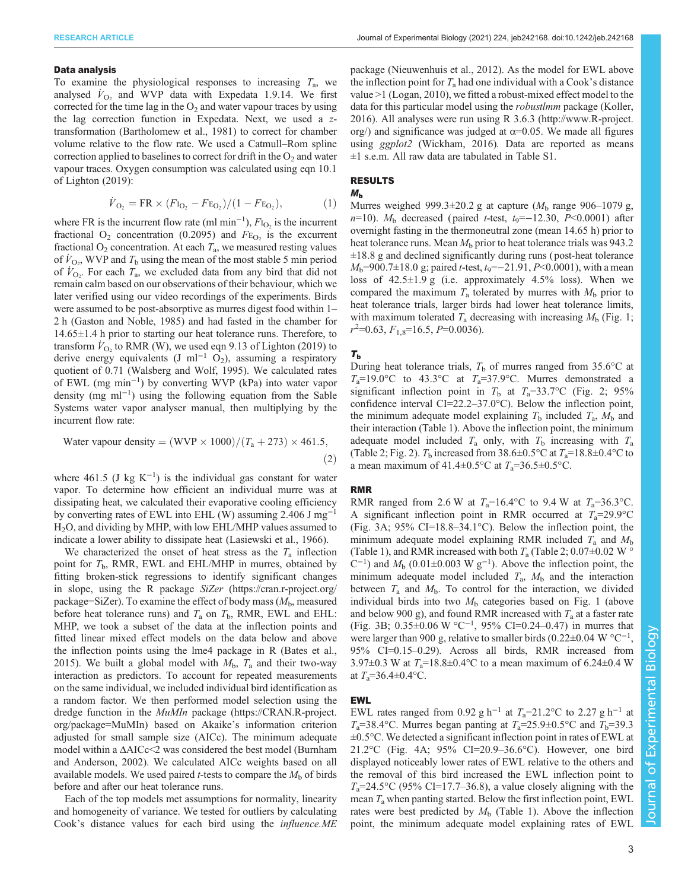#### RESEARCH ARTICLE **ARTICLE** ARTICLE ARTICLE **Journal of Experimental Biology (2021)** 224, jeb242168. doi:10.1242/jeb.242168

#### Data analysis

To examine the physiological responses to increasing  $T_a$ , we analysed  $\dot{V}_{\text{O}_2}$  and WVP data with Expedata 1.9.14. We first corrected for the time lag in the  $O_2$  and water vapour traces by using the lag correction function in Expedata. Next, we used a ztransformation [\(Bartholomew et al., 1981](#page-10-0)) to correct for chamber volume relative to the flow rate. We used a Catmull–Rom spline correction applied to baselines to correct for drift in the  $O_2$  and water vapour traces. Oxygen consumption was calculated using eqn 10.1 of [Lighton \(2019\)](#page-10-0):

$$
\dot{V}_{\text{O}_2} = \text{FR} \times (F_{\text{I}_{\text{O}_2}} - F_{\text{E}_{\text{O}_2}})/(1 - F_{\text{E}_{\text{O}_2}}),\tag{1}
$$

where FR is the incurrent flow rate (ml min<sup>-1</sup>),  $F_{\text{I}_\text{O}_2}$  is the incurrent fractional  $O_2$  concentration (0.2095) and  $F_{\text{E}_{O_2}}$  is the excurrent fractional  $O_2$  concentration. At each  $T_a$ , we measured resting values of  $\dot{V}_{\text{O}_2}$ , WVP and  $T_b$  using the mean of the most stable 5 min period of  $V_{\text{O}_2}$ . For each  $T_a$ , we excluded data from any bird that did not remain calm based on our observations of their behaviour, which we later verified using our video recordings of the experiments. Birds were assumed to be post-absorptive as murres digest food within 1– 2 h [\(Gaston and Noble, 1985](#page-10-0)) and had fasted in the chamber for 14.65±1.4 h prior to starting our heat tolerance runs. Therefore, to transform  $\dot{V}_{\text{O}_2}$  to RMR (W), we used eqn 9.13 of [Lighton \(2019\)](#page-10-0) to derive energy equivalents (J ml<sup>-1</sup> O<sub>2</sub>), assuming a respiratory quotient of 0.71 ([Walsberg and Wolf, 1995\)](#page-11-0). We calculated rates of EWL (mg min−<sup>1</sup> ) by converting WVP (kPa) into water vapor density (mg ml−<sup>1</sup> ) using the following equation from the Sable Systems water vapor analyser manual, then multiplying by the incurrent flow rate:

Water vapour density = 
$$
(WVP \times 1000)/(T_a + 273) \times 461.5,
$$
 (2)

where 461.5 (J kg  $K^{-1}$ ) is the individual gas constant for water vapor. To determine how efficient an individual murre was at dissipating heat, we calculated their evaporative cooling efficiency by converting rates of EWL into EHL (W) assuming 2.406 J mg−<sup>1</sup> H2O, and dividing by MHP, with low EHL/MHP values assumed to indicate a lower ability to dissipate heat [\(Lasiewski et al., 1966](#page-10-0)).

We characterized the onset of heat stress as the  $T_a$  inflection point for  $T<sub>b</sub>$ , RMR, EWL and EHL/MHP in murres, obtained by fitting broken-stick regressions to identify significant changes in slope, using the R package SiZer ([https://cran.r-project.org/](https://cran.r-project.org/package=SiZer) [package=SiZer\)](https://cran.r-project.org/package=SiZer). To examine the effect of body mass  $(M_h,$  measured before heat tolerance runs) and  $T_a$  on  $T_b$ , RMR, EWL and EHL: MHP, we took a subset of the data at the inflection points and fitted linear mixed effect models on the data below and above the inflection points using the lme4 package in R [\(Bates et al.,](#page-10-0) [2015](#page-10-0)). We built a global model with  $M_{\rm b}$ ,  $T_{\rm a}$  and their two-way interaction as predictors. To account for repeated measurements on the same individual, we included individual bird identification as a random factor. We then performed model selection using the dredge function in the MuMIn package [\(https://CRAN.R-project.](https://CRAN.R-project.org/package=MuMIn) [org/package=MuMIn\)](https://CRAN.R-project.org/package=MuMIn) based on Akaike's information criterion adjusted for small sample size (AICc). The minimum adequate model within a  $\Delta AICc \leq 2$  was considered the best model ([Burnham](#page-10-0) [and Anderson, 2002](#page-10-0)). We calculated AICc weights based on all available models. We used paired *t*-tests to compare the  $M<sub>b</sub>$  of birds before and after our heat tolerance runs.

Each of the top models met assumptions for normality, linearity and homogeneity of variance. We tested for outliers by calculating Cook's distance values for each bird using the influence.ME

package [\(Nieuwenhuis et al., 2012\)](#page-11-0). As the model for EWL above the inflection point for  $T_a$  had one individual with a Cook's distance value >1 [\(Logan, 2010](#page-10-0)), we fitted a robust-mixed effect model to the data for this particular model using the *robustlmm* package ([Koller,](#page-10-0) [2016\)](#page-10-0). All analyses were run using R 3.6.3 [\(http://www.R-project.](http://www.R-project.org/) [org/](http://www.R-project.org/)) and significance was judged at  $\alpha$ =0.05. We made all figures using *ggplot2* ([Wickham, 2016](#page-11-0)). Data are reported as means ±1 s.e.m. All raw data are tabulated in [Table S1](https://journals.biologists.com/jeb/article-lookup/DOI/10.1242/jeb.242168).

# RESULTS

#### $M_{\rm b}$

Murres weighed 999.3 $\pm$ 20.2 g at capture ( $M<sub>b</sub>$  range 906–1079 g,  $n=10$ ).  $M_b$  decreased (paired t-test,  $t_9 = -12.30$ ,  $P \le 0.0001$ ) after overnight fasting in the thermoneutral zone (mean 14.65 h) prior to heat tolerance runs. Mean  $M<sub>b</sub>$  prior to heat tolerance trials was 943.2  $\pm 18.8$  g and declined significantly during runs (post-heat tolerance  $M_b$ =900.7±18.0 g; paired *t*-test,  $t_9$ =-21.91, *P*<0.0001), with a mean loss of  $42.5 \pm 1.9$  g (i.e. approximately  $4.5\%$  loss). When we compared the maximum  $T_a$  tolerated by murres with  $M_b$  prior to heat tolerance trials, larger birds had lower heat tolerance limits, with maximum tolerated  $T_a$  decreasing with increasing  $M_b$  ([Fig. 1](#page-5-0);  $r^2$ =0.63,  $F_{1,8}$ =16.5, P=0.0036).

## $T<sub>b</sub>$

During heat tolerance trials,  $T<sub>b</sub>$  of murres ranged from 35.6°C at  $T_a=19.0^{\circ}\text{C}$  to 43.3°C at  $T_a=37.9^{\circ}\text{C}$ . Murres demonstrated a significant inflection point in  $T_b$  at  $T_a=33.7$ °C ([Fig. 2](#page-5-0); 95%) confidence interval CI=22.2–37.0°C). Below the inflection point, the minimum adequate model explaining  $T<sub>b</sub>$  included  $T<sub>a</sub>$ ,  $M<sub>b</sub>$  and their interaction [\(Table 1](#page-6-0)). Above the inflection point, the minimum adequate model included  $T_a$  only, with  $T_b$  increasing with  $T_a$ [\(Table 2;](#page-6-0) [Fig. 2\)](#page-5-0).  $T<sub>b</sub>$  increased from 38.6 $\pm$ 0.5°C at  $T<sub>a</sub>=18.8\pm0.4$ °C to a mean maximum of 41.4 $\pm$ 0.5°C at  $T_a$ =36.5 $\pm$ 0.5°C.

#### RMR

RMR ranged from 2.6 W at  $T_a=16.4$ °C to 9.4 W at  $T_a=36.3$ °C. A significant inflection point in RMR occurred at  $T_a=29.9^{\circ}$ C [\(Fig. 3](#page-7-0)A; 95% CI=18.8–34.1°C). Below the inflection point, the minimum adequate model explaining RMR included  $T_a$  and  $M_b$ [\(Table 1\)](#page-6-0), and RMR increased with both  $T_a$  ([Table 2;](#page-6-0) 0.07 $\pm$ 0.02 W  $\circ$  $(C^{-1})$  and  $M_b$  (0.01±0.003 W g<sup>-1</sup>). Above the inflection point, the minimum adequate model included  $T_a$ ,  $M_b$  and the interaction between  $T_a$  and  $M_b$ . To control for the interaction, we divided individual birds into two  $M<sub>b</sub>$  categories based on [Fig. 1](#page-5-0) (above and below 900 g), and found RMR increased with  $T_a$  at a faster rate [\(Fig. 3B](#page-7-0); 0.35±0.06 W °C−<sup>1</sup> , 95% CI=0.24–0.47) in murres that were larger than 900 g, relative to smaller birds (0.22±0.04 W °C<sup>-1</sup>, 95% CI=0.15–0.29). Across all birds, RMR increased from 3.97 $\pm$ 0.3 W at  $T_a$ =18.8 $\pm$ 0.4°C to a mean maximum of 6.24 $\pm$ 0.4 W at  $T_a = 36.4 \pm 0.4$  °C.

### EWL

EWL rates ranged from 0.92 g h<sup>-1</sup> at  $T_a=21.2$ °C to 2.27 g h<sup>-1</sup> at  $T_a$ =38.4°C. Murres began panting at  $T_a$ =25.9±0.5°C and  $T_b$ =39.3  $\pm 0.5^{\circ}$ C. We detected a significant inflection point in rates of EWL at 21.2°C ([Fig. 4A](#page-7-0); 95% CI=20.9–36.6°C). However, one bird displayed noticeably lower rates of EWL relative to the others and the removal of this bird increased the EWL inflection point to  $T_a$ =24.5°C (95% CI=17.7–36.8), a value closely aligning with the mean  $T_a$  when panting started. Below the first inflection point, EWL rates were best predicted by  $M<sub>b</sub>$  [\(Table 1](#page-6-0)). Above the inflection point, the minimum adequate model explaining rates of EWL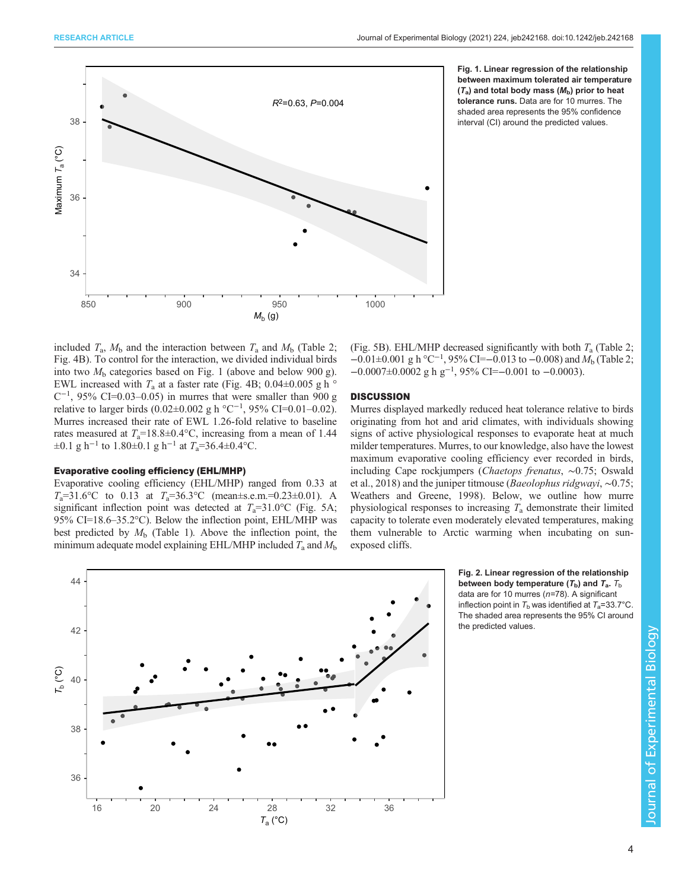<span id="page-5-0"></span>

Fig. 1. Linear regression of the relationship between maximum tolerated air temperature  $(T_a)$  and total body mass ( $M_b$ ) prior to heat tolerance runs. Data are for 10 murres. The shaded area represents the 95% confidence interval (CI) around the predicted values.

included  $T_a$ ,  $M_b$  and the interaction between  $T_a$  and  $M_b$  [\(Table 2](#page-6-0); [Fig. 4](#page-7-0)B). To control for the interaction, we divided individual birds into two  $M<sub>b</sub>$  categories based on Fig. 1 (above and below 900 g). EWL increased with  $T_a$  at a faster rate ([Fig. 4B](#page-7-0); 0.04 $\pm$ 0.005 g h  $\circ$  $C^{-1}$ , 95% CI=0.03–0.05) in murres that were smaller than 900 g relative to larger birds (0.02±0.002 g h °C<sup>-1</sup>, 95% CI=0.01-0.02). Murres increased their rate of EWL 1.26-fold relative to baseline rates measured at  $T_a=18.8\pm0.4$ °C, increasing from a mean of 1.44  $\pm 0.1$  g h<sup>-1</sup> to 1.80 $\pm 0.1$  g h<sup>-1</sup> at  $T_a = 36.4 \pm 0.4$ °C.

#### Evaporative cooling efficiency (EHL/MHP)

Evaporative cooling efficiency (EHL/MHP) ranged from 0.33 at  $T_a=31.6$ °C to 0.13 at  $T_a=36.3$ °C (mean±s.e.m.=0.23±0.01). A significant inflection point was detected at  $T_a=31.0$ °C ([Fig. 5A](#page-8-0); 95% CI=18.6–35.2°C). Below the inflection point, EHL/MHP was best predicted by  $M<sub>b</sub>$  ([Table 1](#page-6-0)). Above the inflection point, the minimum adequate model explaining EHL/MHP included  $T_a$  and  $M_b$ 



#### **DISCUSSION**

Murres displayed markedly reduced heat tolerance relative to birds originating from hot and arid climates, with individuals showing signs of active physiological responses to evaporate heat at much milder temperatures. Murres, to our knowledge, also have the lowest maximum evaporative cooling efficiency ever recorded in birds, including Cape rockjumpers (Chaetops frenatus, ∼0.75; [Oswald](#page-11-0) [et al., 2018](#page-11-0)) and the juniper titmouse (Baeolophus ridgwayi, ∼0.75; [Weathers and Greene, 1998\)](#page-11-0). Below, we outline how murre physiological responses to increasing  $T_a$  demonstrate their limited capacity to tolerate even moderately elevated temperatures, making them vulnerable to Arctic warming when incubating on sunexposed cliffs.



Fig. 2. Linear regression of the relationship between body temperature  $(T_{\rm b})$  and  $T_{\rm a}$ .  $T_{\rm b}$ data are for 10 murres ( $n=78$ ). A significant inflection point in  $T_b$  was identified at  $T_a=33.7^{\circ}$ C. The shaded area represents the 95% CI around the predicted values.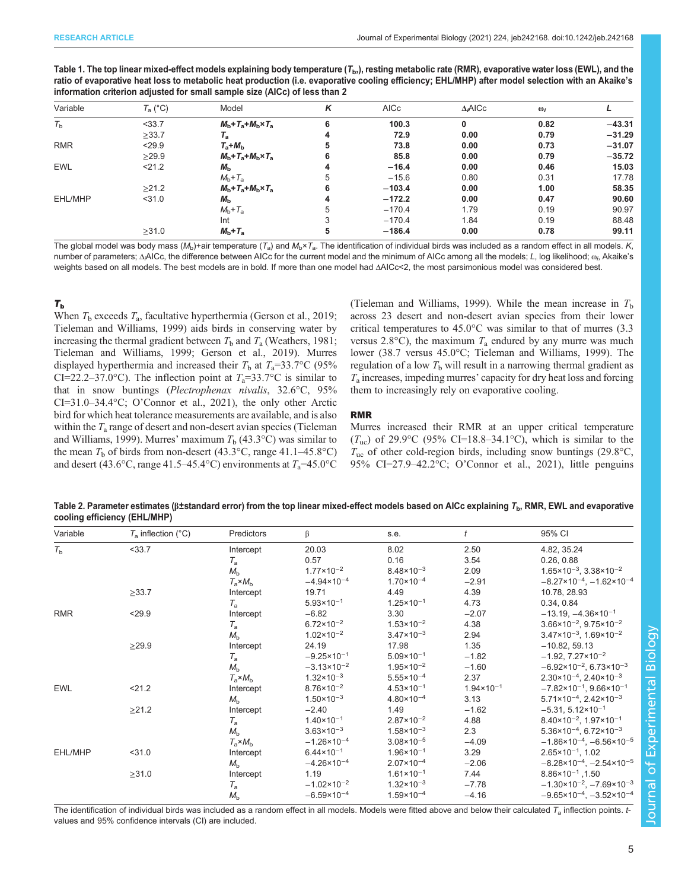<span id="page-6-0"></span>

| Table 1. The top linear mixed-effect models explaining body temperature ( $T_{\rm b}$ ), resting metabolic rate (RMR), evaporative water loss (EWL), and the |
|--------------------------------------------------------------------------------------------------------------------------------------------------------------|
| ratio of evaporative heat loss to metabolic heat production (i.e. evaporative cooling efficiency; EHL/MHP) after model selection with an Akaike's            |
| information criterion adjusted for small sample size (AICc) of less than 2                                                                                   |

| Variable    | $T_a$ (°C) | Model                                                 | K | <b>AICc</b> | $\Delta_i$ AICc | $\omega_i$ |          |
|-------------|------------|-------------------------------------------------------|---|-------------|-----------------|------------|----------|
| $T_{\rm b}$ | $<$ 33.7   | $Mb+Ta+Mb \times Ta$                                  | 6 | 100.3       | $\mathbf{0}$    | 0.82       | $-43.31$ |
|             | >33.7      | $T_{\rm a}$                                           | 4 | 72.9        | 0.00            | 0.79       | $-31.29$ |
| <b>RMR</b>  | < 29.9     | $T_{\rm a}+M_{\rm b}$                                 | 5 | 73.8        | 0.00            | 0.73       | $-31.07$ |
|             | >29.9      | $M_{\rm b}$ + $T_{\rm a}$ + $M_{\rm b}$ × $T_{\rm a}$ | 6 | 85.8        | 0.00            | 0.79       | $-35.72$ |
| <b>EWL</b>  | 21.2       | $M_h$                                                 | 4 | $-16.4$     | 0.00            | 0.46       | 15.03    |
|             |            | $Mb+Ta$                                               | 5 | $-15.6$     | 0.80            | 0.31       | 17.78    |
|             | >21.2      | $M_{\rm b}$ + $T_{\rm a}$ + $M_{\rm b}$ × $T_{\rm a}$ | 6 | $-103.4$    | 0.00            | 1.00       | 58.35    |
| EHL/MHP     | $<$ 31.0   | $M_{h}$                                               | 4 | $-172.2$    | 0.00            | 0.47       | 90.60    |
|             |            | $Mb+Ta$                                               | 5 | $-170.4$    | 1.79            | 0.19       | 90.97    |
|             |            | Int                                                   | 3 | $-170.4$    | 1.84            | 0.19       | 88.48    |
|             | >31.0      | $Mb+Ta$                                               | 5 | $-186.4$    | 0.00            | 0.78       | 99.11    |
|             |            |                                                       |   |             |                 |            |          |

The global model was body mass ( $M<sub>b</sub>$ )+air temperature (T<sub>a</sub>) and  $M<sub>b</sub> \times T<sub>a</sub>$ . The identification of individual birds was included as a random effect in all models. K, number of parameters; Δ<sub>i</sub>AICc, the difference between AICc for the current model and the minimum of AICc among all the models; *L*, log likelihood; <sub>ω</sup>٬٬</sub> Akaike's weights based on all models. The best models are in bold. If more than one model had ΔAICc<2, the most parsimonious model was considered best.

# $T_{\rm b}$

When  $T_b$  exceeds  $T_a$ , facultative hyperthermia ([Gerson et al., 2019](#page-10-0); [Tieleman and Williams, 1999](#page-11-0)) aids birds in conserving water by increasing the thermal gradient between  $T<sub>b</sub>$  and  $T<sub>a</sub>$  [\(Weathers, 1981](#page-11-0); [Tieleman and Williams, 1999;](#page-11-0) [Gerson et al., 2019\)](#page-10-0). Murres displayed hyperthermia and increased their  $T_b$  at  $T_a=33.7$ °C (95% CI=22.2–37.0°C). The inflection point at  $T_a$ =33.7°C is similar to that in snow buntings (Plectrophenax nivalis, 32.6°C, 95% CI=31.0–34.4°C; O'[Connor et al., 2021](#page-11-0)), the only other Arctic bird for which heat tolerance measurements are available, and is also within the  $T_a$  range of desert and non-desert avian species ([Tieleman](#page-11-0) [and Williams, 1999\)](#page-11-0). Murres' maximum  $T_b$  (43.3°C) was similar to the mean  $T<sub>b</sub>$  of birds from non-desert (43.3°C, range 41.1–45.8°C) and desert (43.6°C, range 41.5–45.4°C) environments at  $T_a$ =45.0°C [\(Tieleman and Williams, 1999](#page-11-0)). While the mean increase in  $T<sub>b</sub>$ across 23 desert and non-desert avian species from their lower critical temperatures to 45.0°C was similar to that of murres (3.3 versus 2.8 $^{\circ}$ C), the maximum  $T_a$  endured by any murre was much lower (38.7 versus 45.0°C; [Tieleman and Williams, 1999\)](#page-11-0). The regulation of a low  $T<sub>b</sub>$  will result in a narrowing thermal gradient as  $T_a$  increases, impeding murres' capacity for dry heat loss and forcing them to increasingly rely on evaporative cooling.

# RMR

Murres increased their RMR at an upper critical temperature  $(T_{\text{uc}})$  of 29.9°C (95% CI=18.8–34.1°C), which is similar to the  $T_{\text{uc}}$  of other cold-region birds, including snow buntings (29.8°C, 95% CI=27.9–42.2°C; O'[Connor et al., 2021\)](#page-11-0), little penguins

Table 2. Parameter estimates ( $\beta$ ±standard error) from the top linear mixed-effect models based on AICc explaining T<sub>b</sub>, RMR, EWL and evaporative cooling efficiency (EHL/MHP)

| Variable    | $T_a$ inflection (°C) | Predictors       | β                      | s.e.                  |                       | 95% CI                                          |
|-------------|-----------------------|------------------|------------------------|-----------------------|-----------------------|-------------------------------------------------|
| $T_{\rm b}$ | < 33.7                | Intercept        | 20.03                  | 8.02                  | 2.50                  | 4.82, 35.24                                     |
|             |                       | $T_{\rm a}$      | 0.57                   | 0.16                  | 3.54                  | 0.26, 0.88                                      |
|             |                       | M <sub>b</sub>   | $1.77 \times 10^{-2}$  | $8.48 \times 10^{-3}$ | 2.09                  | $1.65 \times 10^{-3}$ , $3.38 \times 10^{-2}$   |
|             |                       | $T_a \times M_b$ | $-4.94 \times 10^{-4}$ | $1.70 \times 10^{-4}$ | $-2.91$               | $-8.27 \times 10^{-4}$ , $-1.62 \times 10^{-4}$ |
|             | $\geq 33.7$           | Intercept        | 19.71                  | 4.49                  | 4.39                  | 10.78, 28.93                                    |
|             |                       | $T_{\rm a}$      | $5.93 \times 10^{-1}$  | $1.25 \times 10^{-1}$ | 4.73                  | 0.34, 0.84                                      |
| <b>RMR</b>  | < 29.9                | Intercept        | $-6.82$                | 3.30                  | $-2.07$               | $-13.19$ , $-4.36 \times 10^{-1}$               |
|             |                       | $T_{\rm a}$      | $6.72 \times 10^{-2}$  | $1.53 \times 10^{-2}$ | 4.38                  | $3.66 \times 10^{-2}$ , $9.75 \times 10^{-2}$   |
|             |                       | $M_h$            | $1.02 \times 10^{-2}$  | $3.47 \times 10^{-3}$ | 2.94                  | $3.47 \times 10^{-3}$ , 1.69×10 <sup>-2</sup>   |
|             | $\geq$ 29.9           | Intercept        | 24.19                  | 17.98                 | 1.35                  | $-10.82, 59.13$                                 |
|             |                       | $T_{\rm a}$      | $-9.25 \times 10^{-1}$ | $5.09 \times 10^{-1}$ | $-1.82$               | $-1.92, 7.27 \times 10^{-2}$                    |
|             |                       | M <sub>b</sub>   | $-3.13 \times 10^{-2}$ | $1.95 \times 10^{-2}$ | $-1.60$               | $-6.92 \times 10^{-2}$ , 6.73×10 <sup>-3</sup>  |
|             |                       | $T_a \times M_b$ | $1.32 \times 10^{-3}$  | $5.55 \times 10^{-4}$ | 2.37                  | $2.30 \times 10^{-4}$ , $2.40 \times 10^{-3}$   |
| <b>EWL</b>  | 21.2                  | Intercept        | $8.76 \times 10^{-2}$  | $4.53 \times 10^{-1}$ | $1.94 \times 10^{-1}$ | $-7.82 \times 10^{-1}$ , 9.66×10 <sup>-1</sup>  |
|             |                       | $M_{\rm b}$      | $1.50 \times 10^{-3}$  | $4.80 \times 10^{-4}$ | 3.13                  | $5.71 \times 10^{-4}$ , 2.42×10 <sup>-3</sup>   |
|             | $\geq$ 21.2           | Intercept        | $-2.40$                | 1.49                  | $-1.62$               | $-5.31, 5.12 \times 10^{-1}$                    |
|             |                       | $T_{\rm a}$      | $1.40 \times 10^{-1}$  | $2.87 \times 10^{-2}$ | 4.88                  | $8.40 \times 10^{-2}$ , 1.97 $\times 10^{-1}$   |
|             |                       | $M_h$            | $3.63 \times 10^{-3}$  | $1.58 \times 10^{-3}$ | 2.3                   | $5.36 \times 10^{-4}$ , 6.72×10 <sup>-3</sup>   |
|             |                       | $T_a \times M_b$ | $-1.26 \times 10^{-4}$ | $3.08 \times 10^{-5}$ | $-4.09$               | $-1.86 \times 10^{-4}$ , $-6.56 \times 10^{-5}$ |
| EHL/MHP     | < 31.0                | Intercept        | $6.44 \times 10^{-1}$  | $1.96 \times 10^{-1}$ | 3.29                  | $2.65 \times 10^{-1}$ , 1.02                    |
|             |                       | $M_{\rm b}$      | $-4.26 \times 10^{-4}$ | $2.07 \times 10^{-4}$ | $-2.06$               | $-8.28 \times 10^{-4}$ , $-2.54 \times 10^{-5}$ |
|             | $\geq 31.0$           | Intercept        | 1.19                   | $1.61 \times 10^{-1}$ | 7.44                  | $8.86 \times 10^{-1}$ , 1.50                    |
|             |                       | $T_{\rm a}$      | $-1.02 \times 10^{-2}$ | $1.32 \times 10^{-3}$ | $-7.78$               | $-1.30 \times 10^{-2}$ , $-7.69 \times 10^{-3}$ |
|             |                       | M <sub>b</sub>   | $-6.59 \times 10^{-4}$ | $1.59 \times 10^{-4}$ | $-4.16$               | $-9.65 \times 10^{-4}$ , $-3.52 \times 10^{-4}$ |

The identification of individual birds was included as a random effect in all models. Models were fitted above and below their calculated  $T_a$  inflection points. tvalues and 95% confidence intervals (CI) are included.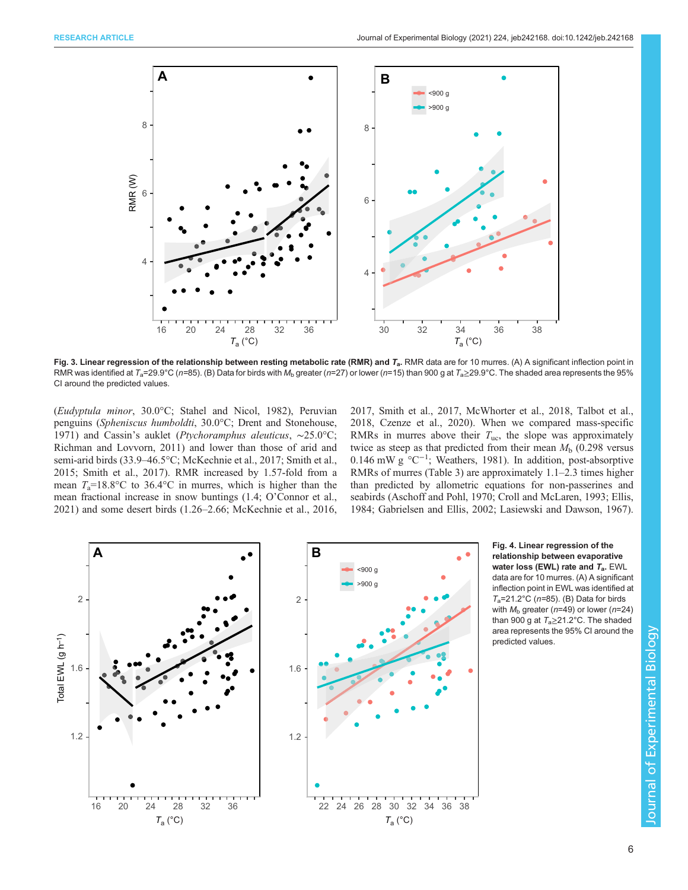<span id="page-7-0"></span>

Fig. 3. Linear regression of the relationship between resting metabolic rate (RMR) and  $T_a$ . RMR data are for 10 murres. (A) A significant inflection point in RMR was identified at  $T_a=29.9^{\circ}$ C (n=85). (B) Data for birds with  $M_b$  greater (n=27) or lower (n=15) than 900 g at  $T_a\geq 29.9^{\circ}$ C. The shaded area represents the 95% CI around the predicted values.

(Eudyptula minor, 30.0°C; [Stahel and Nicol, 1982\)](#page-11-0), Peruvian penguins (Spheniscus humboldti, 30.0°C; [Drent and Stonehouse,](#page-10-0) [1971](#page-10-0)) and Cassin's auklet (Ptychoramphus aleuticus, ∼25.0°C; [Richman and Lovvorn, 2011\)](#page-11-0) and lower than those of arid and semi-arid birds (33.9–46.5°C; [McKechnie et al., 2017](#page-11-0); [Smith et al.,](#page-11-0) [2015](#page-11-0); [Smith et al., 2017](#page-11-0)). RMR increased by 1.57-fold from a mean  $T_a=18.8$ °C to 36.4°C in murres, which is higher than the mean fractional increase in snow buntings (1.4; O'[Connor et al.,](#page-11-0) [2021](#page-11-0)) and some desert birds (1.26–2.66; [McKechnie et al., 2016,](#page-11-0) [2017, Smith et al., 2017, McWhorter et al., 2018](#page-11-0), [Talbot et al.,](#page-11-0) [2018,](#page-11-0) [Czenze et al., 2020\)](#page-10-0). When we compared mass-specific RMRs in murres above their  $T_{\text{uc}}$ , the slope was approximately twice as steep as that predicted from their mean  $M<sub>b</sub>$  (0.298 versus 0.146 mW g °C−<sup>1</sup> ; [Weathers, 1981](#page-11-0)). In addition, post-absorptive RMRs of murres [\(Table 3\)](#page-8-0) are approximately 1.1–2.3 times higher than predicted by allometric equations for non-passerines and seabirds [\(Aschoff and Pohl, 1970](#page-10-0); [Croll and McLaren, 1993](#page-10-0); [Ellis,](#page-10-0) [1984; Gabrielsen and Ellis, 2002](#page-10-0); [Lasiewski and Dawson, 1967\)](#page-10-0).



Fig. 4. Linear regression of the relationship between evaporative water loss (EWL) rate and  $T_a$ . EWL data are for 10 murres. (A) A significant inflection point in EWL was identified at  $T_a$ =21.2°C (n=85). (B) Data for birds with  $M_{\rm b}$  greater (n=49) or lower (n=24) than 900 g at  $T_a \ge 21.2$ °C. The shaded area represents the 95% CI around the predicted values.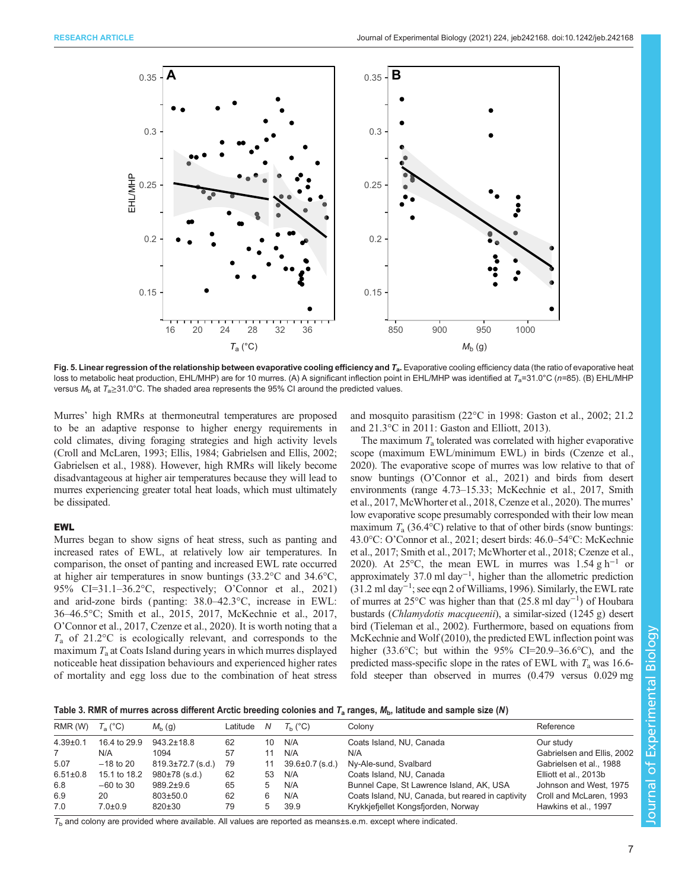<span id="page-8-0"></span>

Fig. 5. Linear regression of the relationship between evaporative cooling efficiency and  $T_a$ . Evaporative cooling efficiency data (the ratio of evaporative heat loss to metabolic heat production, EHL/MHP) are for 10 murres. (A) A significant inflection point in EHL/MHP was identified at  $T_a=31.0^{\circ}C$  (n=85). (B) EHL/MHP versus  $M_b$  at  $T_a \geq 31.0^{\circ}$ C. The shaded area represents the 95% CI around the predicted values.

Murres' high RMRs at thermoneutral temperatures are proposed to be an adaptive response to higher energy requirements in cold climates, diving foraging strategies and high activity levels [\(Croll and McLaren, 1993](#page-10-0); [Ellis, 1984](#page-10-0); [Gabrielsen and Ellis, 2002](#page-10-0); [Gabrielsen et al., 1988](#page-10-0)). However, high RMRs will likely become disadvantageous at higher air temperatures because they will lead to murres experiencing greater total heat loads, which must ultimately be dissipated.

### EWL

Murres began to show signs of heat stress, such as panting and increased rates of EWL, at relatively low air temperatures. In comparison, the onset of panting and increased EWL rate occurred at higher air temperatures in snow buntings (33.2°C and 34.6°C, 95% CI=31.1–36.2°C, respectively; O'[Connor et al., 2021\)](#page-11-0) and arid-zone birds ( panting: 38.0–42.3°C, increase in EWL: 36–46.5°C; [Smith et al., 2015, 2017, McKechnie et al., 2017,](#page-11-0) O'[Connor et al., 2017,](#page-11-0) [Czenze et al., 2020\)](#page-10-0). It is worth noting that a  $T_a$  of 21.2°C is ecologically relevant, and corresponds to the maximum  $T_a$  at Coats Island during years in which murres displayed noticeable heat dissipation behaviours and experienced higher rates of mortality and egg loss due to the combination of heat stress and mosquito parasitism (22°C in 1998: [Gaston et al., 2002;](#page-10-0) 21.2 and 21.3°C in 2011: [Gaston and Elliott, 2013](#page-10-0)).

The maximum  $T_a$  tolerated was correlated with higher evaporative scope (maximum EWL/minimum EWL) in birds [\(Czenze et al.,](#page-10-0) [2020\)](#page-10-0). The evaporative scope of murres was low relative to that of snow buntings (O'[Connor et al., 2021](#page-11-0)) and birds from desert environments (range 4.73–15.33; [McKechnie et al., 2017](#page-11-0), [Smith](#page-11-0) [et al., 2017, McWhorter et al., 2018,](#page-11-0) [Czenze et al., 2020\)](#page-10-0). The murres' low evaporative scope presumably corresponded with their low mean maximum  $T_a$  (36.4°C) relative to that of other birds (snow buntings: 43.0°C: O'[Connor et al., 2021;](#page-11-0) desert birds: 46.0–54°C: [McKechnie](#page-11-0) [et al., 2017](#page-11-0); [Smith et al., 2017](#page-11-0); [McWhorter et al., 2018;](#page-11-0) [Czenze et al.,](#page-10-0) [2020\)](#page-10-0). At 25°C, the mean EWL in murres was 1.54 g h<sup>-1</sup> or approximately 37.0 ml day<sup>-1</sup>, higher than the allometric prediction (31.2 ml day−<sup>1</sup> ; see eqn 2 of [Williams, 1996](#page-11-0)). Similarly, the EWL rate of murres at 25°C was higher than that (25.8 ml day−<sup>1</sup> ) of Houbara bustards (Chlamydotis macqueenii), a similar-sized (1245 g) desert bird ([Tieleman et al., 2002\)](#page-11-0). Furthermore, based on equations from [McKechnie and Wolf \(2010\)](#page-11-0), the predicted EWL inflection point was higher (33.6°C; but within the 95% CI=20.9–36.6°C), and the predicted mass-specific slope in the rates of EWL with  $T_a$  was 16.6fold steeper than observed in murres (0.479 versus 0.029 mg

| Table 3. RMR of murres across different Arctic breeding colonies and $T_a$ ranges, $M_b$ , latitude and sample size (N) |  |  |  |
|-------------------------------------------------------------------------------------------------------------------------|--|--|--|
|-------------------------------------------------------------------------------------------------------------------------|--|--|--|

| RMR (W)        | $T_a (°C)$    | $M_h$ (g)               | Latitude | N  | $T_{h}$ (°C)          | Colony                                            | Reference                  |
|----------------|---------------|-------------------------|----------|----|-----------------------|---------------------------------------------------|----------------------------|
| $4.39 \pm 0.1$ | 16.4 to 29.9  | $943.2 \pm 18.8$        | 62       | 10 | N/A                   | Coats Island, NU, Canada                          | Our study                  |
|                | N/A           | 1094                    | 57       |    | N/A                   | N/A                                               | Gabrielsen and Ellis, 2002 |
| 5.07           | $-18$ to 20   | $819.3 \pm 72.7$ (s.d.) | 79       |    | $39.6 \pm 0.7$ (s.d.) | Ny-Ale-sund, Svalbard                             | Gabrielsen et al., 1988    |
| $6.51 \pm 0.8$ | 15.1 to 18.2  | $980±78$ (s.d.)         | 62       | 53 | N/A                   | Coats Island, NU, Canada                          | Elliott et al., 2013b      |
| 6.8            | $-60$ to 30   | $989.2 \pm 9.6$         | 65       |    | N/A                   | Bunnel Cape, St Lawrence Island, AK, USA          | Johnson and West, 1975     |
| 6.9            | 20            | $803 \pm 50.0$          | 62       |    | N/A                   | Coats Island, NU, Canada, but reared in captivity | Croll and McLaren, 1993    |
| 7.0            | $7.0 \pm 0.9$ | $820 \pm 30$            | 79       |    | 39.9                  | Krykkiefjellet Kongsfjorden, Norway               | Hawkins et al., 1997       |

 $T<sub>b</sub>$  and colony are provided where available. All values are reported as means±s.e.m. except where indicated.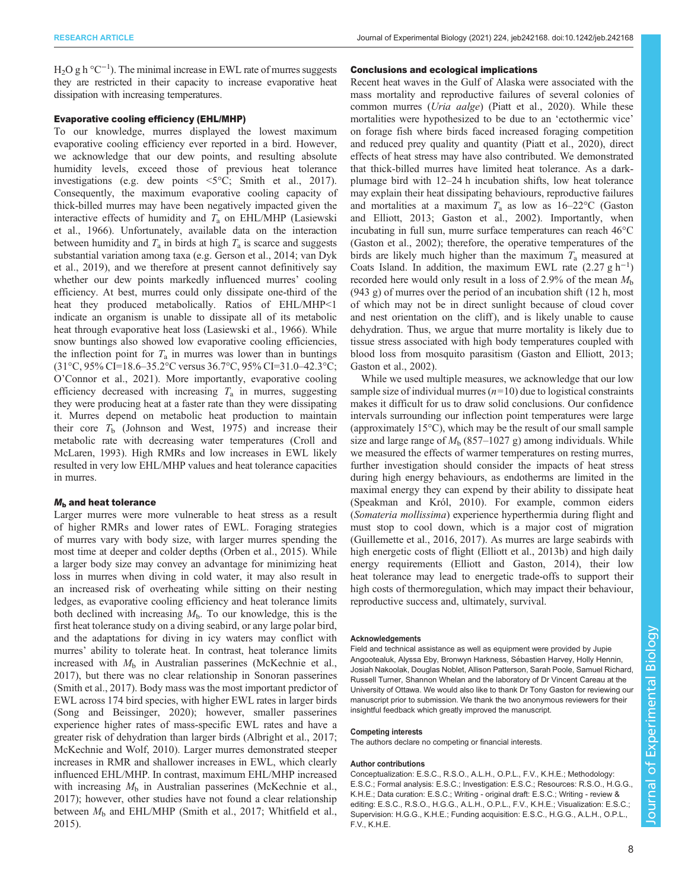$H_2O$  g h °C<sup>-1</sup>). The minimal increase in EWL rate of murres suggests they are restricted in their capacity to increase evaporative heat dissipation with increasing temperatures.

#### Evaporative cooling efficiency (EHL/MHP)

To our knowledge, murres displayed the lowest maximum evaporative cooling efficiency ever reported in a bird. However, we acknowledge that our dew points, and resulting absolute humidity levels, exceed those of previous heat tolerance investigations (e.g. dew points  $\leq 5^{\circ}$ C; [Smith et al., 2017\)](#page-11-0). Consequently, the maximum evaporative cooling capacity of thick-billed murres may have been negatively impacted given the interactive effects of humidity and  $T_a$  on EHL/MHP [\(Lasiewski](#page-10-0) [et al., 1966](#page-10-0)). Unfortunately, available data on the interaction between humidity and  $T_a$  in birds at high  $T_a$  is scarce and suggests substantial variation among taxa (e.g. [Gerson et al., 2014;](#page-10-0) [van Dyk](#page-11-0) [et al., 2019\)](#page-11-0), and we therefore at present cannot definitively say whether our dew points markedly influenced murres' cooling efficiency. At best, murres could only dissipate one-third of the heat they produced metabolically. Ratios of EHL/MHP<1 indicate an organism is unable to dissipate all of its metabolic heat through evaporative heat loss [\(Lasiewski et al., 1966\)](#page-10-0). While snow buntings also showed low evaporative cooling efficiencies, the inflection point for  $T_a$  in murres was lower than in buntings (31°C, 95% CI=18.6–35.2°C versus 36.7°C, 95% CI=31.0–42.3°C; O'[Connor et al., 2021\)](#page-11-0). More importantly, evaporative cooling efficiency decreased with increasing  $T_a$  in murres, suggesting they were producing heat at a faster rate than they were dissipating it. Murres depend on metabolic heat production to maintain their core  $T<sub>b</sub>$  [\(Johnson and West, 1975](#page-10-0)) and increase their metabolic rate with decreasing water temperatures [\(Croll and](#page-10-0) [McLaren, 1993\)](#page-10-0). High RMRs and low increases in EWL likely resulted in very low EHL/MHP values and heat tolerance capacities in murres.

#### $M<sub>b</sub>$  and heat tolerance

Larger murres were more vulnerable to heat stress as a result of higher RMRs and lower rates of EWL. Foraging strategies of murres vary with body size, with larger murres spending the most time at deeper and colder depths [\(Orben et al., 2015\)](#page-11-0). While a larger body size may convey an advantage for minimizing heat loss in murres when diving in cold water, it may also result in an increased risk of overheating while sitting on their nesting ledges, as evaporative cooling efficiency and heat tolerance limits both declined with increasing  $M<sub>b</sub>$ . To our knowledge, this is the first heat tolerance study on a diving seabird, or any large polar bird, and the adaptations for diving in icy waters may conflict with murres' ability to tolerate heat. In contrast, heat tolerance limits increased with  $M<sub>b</sub>$  in Australian passerines [\(McKechnie et al.,](#page-11-0) [2017](#page-11-0)), but there was no clear relationship in Sonoran passerines [\(Smith et al., 2017\)](#page-11-0). Body mass was the most important predictor of EWL across 174 bird species, with higher EWL rates in larger birds [\(Song and Beissinger, 2020\)](#page-11-0); however, smaller passerines experience higher rates of mass-specific EWL rates and have a greater risk of dehydration than larger birds ([Albright et al., 2017](#page-10-0); [McKechnie and Wolf, 2010](#page-11-0)). Larger murres demonstrated steeper increases in RMR and shallower increases in EWL, which clearly influenced EHL/MHP. In contrast, maximum EHL/MHP increased with increasing  $M<sub>b</sub>$  in Australian passerines ([McKechnie et al.,](#page-11-0) [2017](#page-11-0)); however, other studies have not found a clear relationship between  $M<sub>b</sub>$  and EHL/MHP ([Smith et al., 2017; Whitfield et al.,](#page-11-0) [2015](#page-11-0)).

#### Conclusions and ecological implications

Recent heat waves in the Gulf of Alaska were associated with the mass mortality and reproductive failures of several colonies of common murres (Uria aalge) [\(Piatt et al., 2020\)](#page-11-0). While these mortalities were hypothesized to be due to an 'ectothermic vice' on forage fish where birds faced increased foraging competition and reduced prey quality and quantity [\(Piatt et al., 2020\)](#page-11-0), direct effects of heat stress may have also contributed. We demonstrated that thick-billed murres have limited heat tolerance. As a darkplumage bird with 12–24 h incubation shifts, low heat tolerance may explain their heat dissipating behaviours, reproductive failures and mortalities at a maximum  $T_a$  as low as 16–22°C [\(Gaston](#page-10-0) [and Elliott, 2013](#page-10-0); [Gaston et al., 2002\)](#page-10-0). Importantly, when incubating in full sun, murre surface temperatures can reach 46°C [\(Gaston et al., 2002](#page-10-0)); therefore, the operative temperatures of the birds are likely much higher than the maximum  $T_a$  measured at Coats Island. In addition, the maximum EWL rate  $(2.27 g h^{-1})$ recorded here would only result in a loss of 2.9% of the mean  $M<sub>b</sub>$ (943 g) of murres over the period of an incubation shift (12 h, most of which may not be in direct sunlight because of cloud cover and nest orientation on the cliff), and is likely unable to cause dehydration. Thus, we argue that murre mortality is likely due to tissue stress associated with high body temperatures coupled with blood loss from mosquito parasitism ([Gaston and Elliott, 2013](#page-10-0); [Gaston et al., 2002\)](#page-10-0).

While we used multiple measures, we acknowledge that our low sample size of individual murres  $(n=10)$  due to logistical constraints makes it difficult for us to draw solid conclusions. Our confidence intervals surrounding our inflection point temperatures were large (approximately 15°C), which may be the result of our small sample size and large range of  $M_b$  (857–1027 g) among individuals. While we measured the effects of warmer temperatures on resting murres, further investigation should consider the impacts of heat stress during high energy behaviours, as endotherms are limited in the maximal energy they can expend by their ability to dissipate heat [\(Speakman and Król, 2010\)](#page-11-0). For example, common eiders (Somateria mollissima) experience hyperthermia during flight and must stop to cool down, which is a major cost of migration [\(Guillemette et al., 2016, 2017\)](#page-10-0). As murres are large seabirds with high energetic costs of flight [\(Elliott et al., 2013b\)](#page-10-0) and high daily energy requirements ([Elliott and Gaston, 2014](#page-10-0)), their low heat tolerance may lead to energetic trade-offs to support their high costs of thermoregulation, which may impact their behaviour, reproductive success and, ultimately, survival.

#### Acknowledgements

Field and technical assistance as well as equipment were provided by Jupie Angootealuk, Alyssa Eby, Bronwyn Harkness, Sébastien Harvey, Holly Hennin, Josiah Nakoolak, Douglas Noblet, Allison Patterson, Sarah Poole, Samuel Richard, Russell Turner, Shannon Whelan and the laboratory of Dr Vincent Careau at the University of Ottawa. We would also like to thank Dr Tony Gaston for reviewing our manuscript prior to submission. We thank the two anonymous reviewers for their insightful feedback which greatly improved the manuscript.

#### Competing interests

The authors declare no competing or financial interests.

#### Author contributions

Conceptualization: E.S.C., R.S.O., A.L.H., O.P.L., F.V., K.H.E.; Methodology: E.S.C.; Formal analysis: E.S.C.; Investigation: E.S.C.; Resources: R.S.O., H.G.G., K.H.E.; Data curation: E.S.C.; Writing - original draft: E.S.C.; Writing - review & editing: E.S.C., R.S.O., H.G.G., A.L.H., O.P.L., F.V., K.H.E.; Visualization: E.S.C.; Supervision: H.G.G., K.H.E.; Funding acquisition: E.S.C., H.G.G., A.L.H., O.P.L., F.V., K.H.E.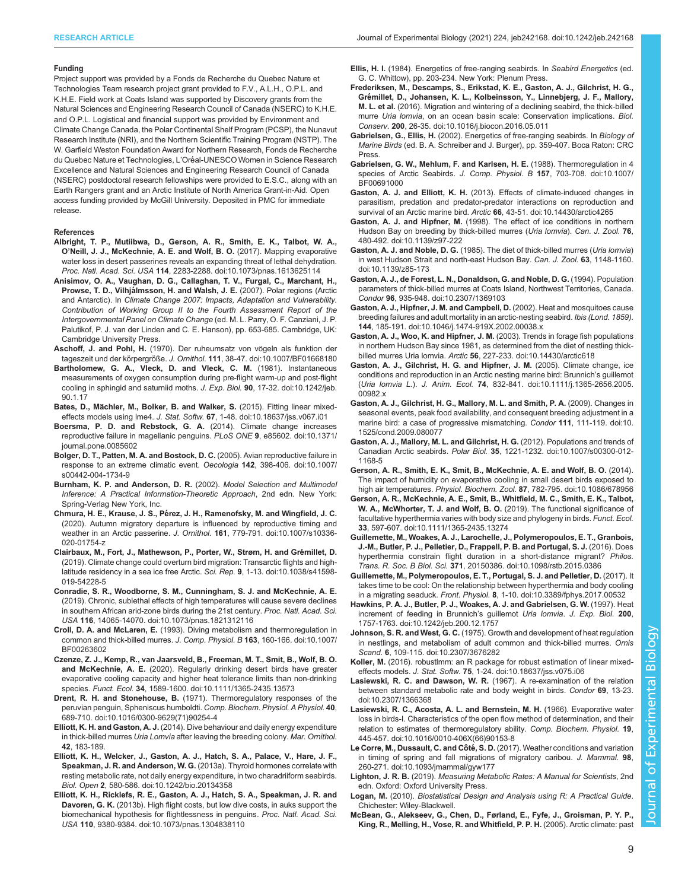#### <span id="page-10-0"></span>Funding

Project support was provided by a Fonds de Recherche du Quebec Nature et Technologies Team research project grant provided to F.V., A.L.H., O.P.L. and K.H.E. Field work at Coats Island was supported by Discovery grants from the Natural Sciences and Engineering Research Council of Canada (NSERC) to K.H.E. and O.P.L. Logistical and financial support was provided by Environment and Climate Change Canada, the Polar Continental Shelf Program (PCSP), the Nunavut Research Institute (NRI), and the Northern Scientific Training Program (NSTP). The W. Garfield Weston Foundation Award for Northern Research, Fonds de Recherche du Quebec Nature et Technologies, L'Oréal-UNESCO Women in Science Research Excellence and Natural Sciences and Engineering Research Council of Canada (NSERC) postdoctoral research fellowships were provided to E.S.C., along with an Earth Rangers grant and an Arctic Institute of North America Grant-in-Aid. Open access funding provided by McGill University. Deposited in PMC for immediate release.

#### References

- [Albright, T. P., Mutiibwa, D., Gerson, A. R., Smith, E. K., Talbot, W. A.,](https://doi.org/10.1073/pnas.1613625114) O'[Neill, J. J., McKechnie, A. E. and Wolf, B. O.](https://doi.org/10.1073/pnas.1613625114) (2017). Mapping evaporative [water loss in desert passerines reveals an expanding threat of lethal dehydration.](https://doi.org/10.1073/pnas.1613625114) Proc. Natl. Acad. Sci. USA 114[, 2283-2288. doi:10.1073/pnas.1613625114](https://doi.org/10.1073/pnas.1613625114)
- Anisimov, O. A., Vaughan, D. G., Callaghan, T. V., Furgal, C., Marchant, H., Prowse, T. D., Vilhjálmsson, H. and Walsh, J. E. (2007). Polar regions (Arctic and Antarctic). In Climate Change 2007: Impacts, Adaptation and Vulnerability. Contribution of Working Group II to the Fourth Assessment Report of the Intergovernmental Panel on Climate Change (ed. M. L. Parry, O. F. Canziani, J. P. Palutikof, P. J. van der Linden and C. E. Hanson), pp. 653-685. Cambridge, UK: Cambridge University Press.
- Aschoff, J. and Pohl, H. (1970). Der ruheumsatz von vögeln als funktion der tageszeit und der körpergröße. J. Ornithol. 111[, 38-47. doi:10.1007/BF01668180](https://doi.org/10.1007/BF01668180)
- [Bartholomew, G. A., Vleck, D. and Vleck, C. M.](https://doi.org/10.1242/jeb.90.1.17) (1981). Instantaneous [measurements of oxygen consumption during pre-flight warm-up and post-flight](https://doi.org/10.1242/jeb.90.1.17) [cooling in sphingid and saturniid moths.](https://doi.org/10.1242/jeb.90.1.17) J. Exp. Biol. 90, 17-32. doi:10.1242/jeb. [90.1.17](https://doi.org/10.1242/jeb.90.1.17)
- Bates, D., Mä[chler, M., Bolker, B. and Walker, S.](https://doi.org/10.18637/jss.v067.i01) (2015). Fitting linear mixedeffects models using lme4. J. Stat. Softw. 67[, 1-48. doi:10.18637/jss.v067.i01](https://doi.org/10.18637/jss.v067.i01)
- [Boersma, P. D. and Rebstock, G. A.](https://doi.org/10.1371/journal.pone.0085602) (2014). Climate change increases [reproductive failure in magellanic penguins.](https://doi.org/10.1371/journal.pone.0085602) PLoS ONE 9, e85602. doi:10.1371/ [journal.pone.0085602](https://doi.org/10.1371/journal.pone.0085602)
- [Bolger, D. T., Patten, M. A. and Bostock, D. C.](https://doi.org/10.1007/s00442-004-1734-9) (2005). Avian reproductive failure in [response to an extreme climatic event.](https://doi.org/10.1007/s00442-004-1734-9) Oecologia 142, 398-406. doi:10.1007/ [s00442-004-1734-9](https://doi.org/10.1007/s00442-004-1734-9)
- Burnham, K. P. and Anderson, D. R. (2002). Model Selection and Multimodel Inference: A Practical Information-Theoretic Approach, 2nd edn. New York: Spring-Verlag New York, Inc.
- Chmura, H. E., Krause, J. S., Pé[rez, J. H., Ramenofsky, M. and Wingfield, J. C.](https://doi.org/10.1007/s10336-020-01754-z) [\(2020\). Autumn migratory departure is influenced by reproductive timing and](https://doi.org/10.1007/s10336-020-01754-z) weather in an Arctic passerine. J. Ornithol. 161[, 779-791. doi:10.1007/s10336-](https://doi.org/10.1007/s10336-020-01754-z) [020-01754-z](https://doi.org/10.1007/s10336-020-01754-z)
- Clairbaux, M., Fort, J., Mathewson, P., Porter, W., Strøm, H. and Grémillet, D. [\(2019\). Climate change could overturn bird migration: Transarctic flights and high](https://doi.org/10.1038/s41598-019-54228-5)[latitude residency in a sea ice free Arctic.](https://doi.org/10.1038/s41598-019-54228-5) Sci. Rep. 9, 1-13. doi:10.1038/s41598-[019-54228-5](https://doi.org/10.1038/s41598-019-54228-5)
- [Conradie, S. R., Woodborne, S. M., Cunningham, S. J. and McKechnie, A. E.](https://doi.org/10.1073/pnas.1821312116) [\(2019\). Chronic, sublethal effects of high temperatures will cause severe declines](https://doi.org/10.1073/pnas.1821312116) [in southern African arid-zone birds during the 21st century.](https://doi.org/10.1073/pnas.1821312116) Proc. Natl. Acad. Sci. USA 116[, 14065-14070. doi:10.1073/pnas.1821312116](https://doi.org/10.1073/pnas.1821312116)
- Croll, D. A. and McLaren, E. [\(1993\). Diving metabolism and thermoregulation in](https://doi.org/10.1007/BF00263602) [common and thick-billed murres.](https://doi.org/10.1007/BF00263602) J. Comp. Physiol. B 163, 160-166. doi:10.1007/ [BF00263602](https://doi.org/10.1007/BF00263602)
- [Czenze, Z. J., Kemp, R., van Jaarsveld, B., Freeman, M. T., Smit, B., Wolf, B. O.](https://doi.org/10.1111/1365-2435.13573) and McKechnie, A. E. [\(2020\). Regularly drinking desert birds have greater](https://doi.org/10.1111/1365-2435.13573) [evaporative cooling capacity and higher heat tolerance limits than non-drinking](https://doi.org/10.1111/1365-2435.13573) species. Funct. Ecol. 34[, 1589-1600. doi:10.1111/1365-2435.13573](https://doi.org/10.1111/1365-2435.13573)
- Drent, R. H. and Stonehouse, B. [\(1971\). Thermoregulatory responses of the](https://doi.org/10.1016/0300-9629(71)90254-4) [peruvian penguin, Spheniscus humboldti.](https://doi.org/10.1016/0300-9629(71)90254-4) Comp. Biochem. Physiol. A Physiol. 40, [689-710. doi:10.1016/0300-9629\(71\)90254-4](https://doi.org/10.1016/0300-9629(71)90254-4)
- Elliott, K. H. and Gaston, A. J. (2014). Dive behaviour and daily energy expenditure in thick-billed murres Uria Lomvia after leaving the breeding colony. Mar. Ornithol. 42, 183-189.
- [Elliott, K. H., Welcker, J., Gaston, A. J., Hatch, S. A., Palace, V., Hare, J. F.,](https://doi.org/10.1242/bio.20134358) Speakman, J. R. and Anderson, W. G. [\(2013a\). Thyroid hormones correlate with](https://doi.org/10.1242/bio.20134358) [resting metabolic rate, not daily energy expenditure, in two charadriiform seabirds.](https://doi.org/10.1242/bio.20134358) Biol. Open 2[, 580-586. doi:10.1242/bio.20134358](https://doi.org/10.1242/bio.20134358)
- [Elliott, K. H., Ricklefs, R. E., Gaston, A. J., Hatch, S. A., Speakman, J. R. and](https://doi.org/10.1073/pnas.1304838110) Davoren, G. K. [\(2013b\). High flight costs, but low dive costs, in auks support the](https://doi.org/10.1073/pnas.1304838110) [biomechanical hypothesis for flightlessness in penguins.](https://doi.org/10.1073/pnas.1304838110) Proc. Natl. Acad. Sci. USA 110[, 9380-9384. doi:10.1073/pnas.1304838110](https://doi.org/10.1073/pnas.1304838110)

Ellis, H. I. (1984). Energetics of free-ranging seabirds. In Seabird Energetics (ed. G. C. Whittow), pp. 203-234. New York: Plenum Press.

- [Frederiksen, M., Descamps, S., Erikstad, K. E., Gaston, A. J., Gilchrist, H. G.,](https://doi.org/10.1016/j.biocon.2016.05.011) Gré[millet, D., Johansen, K. L., Kolbeinsson, Y., Linnebjerg, J. F., Mallory,](https://doi.org/10.1016/j.biocon.2016.05.011) M. L. et al. [\(2016\). Migration and wintering of a declining seabird, the thick-billed](https://doi.org/10.1016/j.biocon.2016.05.011) murre Uria lomvia[, on an ocean basin scale: Conservation implications.](https://doi.org/10.1016/j.biocon.2016.05.011) Biol. Conserv. 200[, 26-35. doi:10.1016/j.biocon.2016.05.011](https://doi.org/10.1016/j.biocon.2016.05.011)
- Gabrielsen, G., Ellis, H. (2002). Energetics of free-ranging seabirds. In Biology of Marine Birds (ed. B. A. Schreiber and J. Burger), pp. 359-407. Boca Raton: CRC Press.
- [Gabrielsen, G. W., Mehlum, F. and Karlsen, H. E.](https://doi.org/10.1007/BF00691000) (1988). Thermoregulation in 4 [species of Arctic Seabirds.](https://doi.org/10.1007/BF00691000) J. Comp. Physiol. B 157, 703-708. doi:10.1007/ [BF00691000](https://doi.org/10.1007/BF00691000)
- Gaston, A. J. and Elliott, K. H. [\(2013\). Effects of climate-induced changes in](https://doi.org/10.14430/arctic4265) [parasitism, predation and predator-predator interactions on reproduction and](https://doi.org/10.14430/arctic4265) survival of an Arctic marine bird. Arctic 66[, 43-51. doi:10.14430/arctic4265](https://doi.org/10.14430/arctic4265)
- Gaston, A. J. and Hipfner, M. [\(1998\). The effect of ice conditions in northern](https://doi.org/10.1139/z97-222) [Hudson Bay on breeding by thick-billed murres \(](https://doi.org/10.1139/z97-222)Uria lomvia). Can. J. Zool. 76, [480-492. doi:10.1139/z97-222](https://doi.org/10.1139/z97-222)
- Gaston, A. J. and Noble, D. G. [\(1985\). The diet of thick-billed murres \(](https://doi.org/10.1139/z85-173)Uria lomvia) [in west Hudson Strait and north-east Hudson Bay.](https://doi.org/10.1139/z85-173) Can. J. Zool. 63, 1148-1160. [doi:10.1139/z85-173](https://doi.org/10.1139/z85-173)
- [Gaston, A. J., de Forest, L. N., Donaldson, G. and Noble, D. G.](https://doi.org/10.2307/1369103) (1994). Population [parameters of thick-billed murres at Coats Island, Northwest Territories, Canada.](https://doi.org/10.2307/1369103) Condor 96[, 935-948. doi:10.2307/1369103](https://doi.org/10.2307/1369103)
- [Gaston, A. J., Hipfner, J. M. and Campbell, D.](https://doi.org/10.1046/j.1474-919X.2002.00038.x) (2002). Heat and mosquitoes cause [breeding failures and adult mortality in an arctic-nesting seabird.](https://doi.org/10.1046/j.1474-919X.2002.00038.x) Ibis (Lond. 1859). 144[, 185-191. doi:10.1046/j.1474-919X.2002.00038.x](https://doi.org/10.1046/j.1474-919X.2002.00038.x)
- [Gaston, A. J., Woo, K. and Hipfner, J. M.](https://doi.org/10.14430/arctic618) (2003). Trends in forage fish populations [in northern Hudson Bay since 1981, as determined from the diet of nestling thick](https://doi.org/10.14430/arctic618)billed murres Uria lomvia. Arctic 56[, 227-233. doi:10.14430/arctic618](https://doi.org/10.14430/arctic618)
- [Gaston, A. J., Gilchrist, H. G. and Hipfner, J. M.](https://doi.org/10.1111/j.1365-2656.2005.00982.x) (2005). Climate change, ice [conditions and reproduction in an Arctic nesting marine bird: Brunnich](https://doi.org/10.1111/j.1365-2656.2005.00982.x)'s guillemot (Uria lomvia L.). J. Anim. Ecol. 74[, 832-841. doi:10.1111/j.1365-2656.2005.](https://doi.org/10.1111/j.1365-2656.2005.00982.x) [00982.x](https://doi.org/10.1111/j.1365-2656.2005.00982.x)
- [Gaston, A. J., Gilchrist, H. G., Mallory, M. L. and Smith, P. A.](https://doi.org/10.1525/cond.2009.080077) (2009). Changes in [seasonal events, peak food availability, and consequent breeding adjustment in a](https://doi.org/10.1525/cond.2009.080077) [marine bird: a case of progressive mismatching.](https://doi.org/10.1525/cond.2009.080077) Condor 111, 111-119. doi:10. [1525/cond.2009.080077](https://doi.org/10.1525/cond.2009.080077)
- [Gaston, A. J., Mallory, M. L. and Gilchrist, H. G.](https://doi.org/10.1007/s00300-012-1168-5) (2012). Populations and trends of Canadian Arctic seabirds. Polar Biol. 35[, 1221-1232. doi:10.1007/s00300-012-](https://doi.org/10.1007/s00300-012-1168-5) [1168-5](https://doi.org/10.1007/s00300-012-1168-5)
- [Gerson, A. R., Smith, E. K., Smit, B., McKechnie, A. E. and Wolf, B. O.](https://doi.org/10.1086/678956) (2014). [The impact of humidity on evaporative cooling in small desert birds exposed to](https://doi.org/10.1086/678956) high air temperatures. Physiol. Biochem. Zool. 87[, 782-795. doi:10.1086/678956](https://doi.org/10.1086/678956)
- [Gerson, A. R., McKechnie, A. E., Smit, B., Whitfield, M. C., Smith, E. K., Talbot,](https://doi.org/10.1111/1365-2435.13274) [W. A., McWhorter, T. J. and Wolf, B. O.](https://doi.org/10.1111/1365-2435.13274) (2019). The functional significance of [facultative hyperthermia varies with body size and phylogeny in birds.](https://doi.org/10.1111/1365-2435.13274) Funct. Ecol. 33[, 597-607. doi:10.1111/1365-2435.13274](https://doi.org/10.1111/1365-2435.13274)
- [Guillemette, M., Woakes, A. J., Larochelle, J., Polymeropoulos, E. T., Granbois,](https://doi.org/10.1098/rstb.2015.0386) [J.-M., Butler, P. J., Pelletier, D., Frappell, P. B. and Portugal, S. J.](https://doi.org/10.1098/rstb.2015.0386) (2016). Does [hyperthermia constrain flight duration in a short-distance migrant?](https://doi.org/10.1098/rstb.2015.0386) Philos. Trans. R. Soc. B Biol. Sci. 371[, 20150386. doi:10.1098/rstb.2015.0386](https://doi.org/10.1098/rstb.2015.0386)
- [Guillemette, M., Polymeropoulos, E. T., Portugal, S. J. and Pelletier, D.](https://doi.org/10.3389/fphys.2017.00532) (2017). It [takes time to be cool: On the relationship between hyperthermia and body cooling](https://doi.org/10.3389/fphys.2017.00532) in a migrating seaduck. Front. Physiol. 8[, 1-10. doi:10.3389/fphys.2017.00532](https://doi.org/10.3389/fphys.2017.00532)
- [Hawkins, P. A. J., Butler, P. J., Woakes, A. J. and Gabrielsen, G. W.](https://doi.org/10.1242/jeb.200.12.1757) (1997). Heat [increment of feeding in Brunnich](https://doi.org/10.1242/jeb.200.12.1757)'s guillemot Uria lomvia. J. Exp. Biol. 200, [1757-1763. doi:10.1242/jeb.200.12.1757](https://doi.org/10.1242/jeb.200.12.1757)
- Johnson, S. R. and West, G. C. [\(1975\). Growth and development of heat regulation](https://doi.org/10.2307/3676282) [in nestlings, and metabolism of adult common and thick-billed murres.](https://doi.org/10.2307/3676282) Ornis Scand. 6[, 109-115. doi:10.2307/3676282](https://doi.org/10.2307/3676282)
- Koller, M. [\(2016\). robustlmm: an R package for robust estimation of linear mixed](https://doi.org/10.18637/jss.v075.i06)effects models. J. Stat. Softw. 75[, 1-24. doi:10.18637/jss.v075.i06](https://doi.org/10.18637/jss.v075.i06)
- Lasiewski, R. C. and Dawson, W. R. [\(1967\). A re-examination of the relation](https://doi.org/10.2307/1366368) [between standard metabolic rate and body weight in birds.](https://doi.org/10.2307/1366368) Condor 69, 13-23. [doi:10.2307/1366368](https://doi.org/10.2307/1366368)
- [Lasiewski, R. C., Acosta, A. L. and Bernstein, M. H.](https://doi.org/10.1016/0010-406X(66)90153-8) (1966). Evaporative water [loss in birds-I. Characteristics of the open flow method of determination, and their](https://doi.org/10.1016/0010-406X(66)90153-8) [relation to estimates of thermoregulatory ability.](https://doi.org/10.1016/0010-406X(66)90153-8) Comp. Biochem. Physiol. 19, [445-457. doi:10.1016/0010-406X\(66\)90153-8](https://doi.org/10.1016/0010-406X(66)90153-8)
- Le Corre, M., Dussault, C. and Côté, S. D. [\(2017\). Weather conditions and variation](https://doi.org/10.1093/jmammal/gyw177) [in timing of spring and fall migrations of migratory caribou.](https://doi.org/10.1093/jmammal/gyw177) J. Mammal. 98, [260-271. doi:10.1093/jmammal/gyw177](https://doi.org/10.1093/jmammal/gyw177)
- Lighton, J. R. B. (2019). Measuring Metabolic Rates: A Manual for Scientists, 2nd edn. Oxford: Oxford University Press.
- Logan, M. (2010). Biostatistical Design and Analysis using R: A Practical Guide. Chichester: Wiley-Blackwell.
- McBean, G., Alekseev, G., Chen, D., Førland, E., Fyfe, J., Groisman, P. Y. P., King, R., Melling, H., Vose, R. and Whitfield, P. P. H. (2005). Arctic climate: past